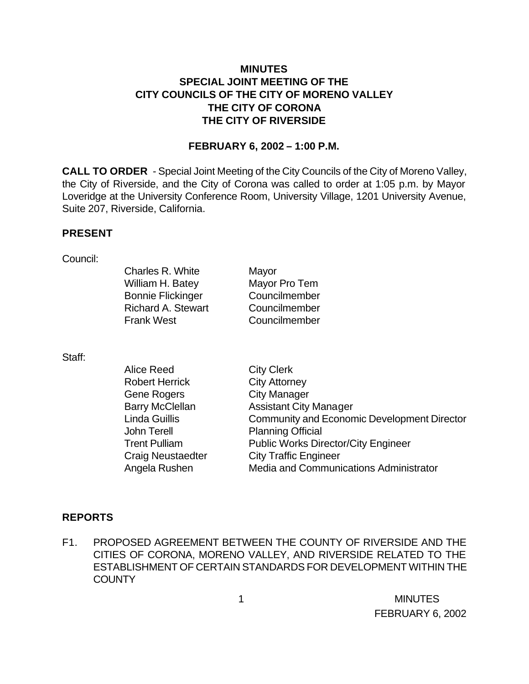# **MINUTES SPECIAL JOINT MEETING OF THE CITY COUNCILS OF THE CITY OF MORENO VALLEY THE CITY OF CORONA THE CITY OF RIVERSIDE**

### **FEBRUARY 6, 2002 – 1:00 P.M.**

**CALL TO ORDER** - Special Joint Meeting of the City Councils of the City of Moreno Valley, the City of Riverside, and the City of Corona was called to order at 1:05 p.m. by Mayor Loveridge at the University Conference Room, University Village, 1201 University Avenue, Suite 207, Riverside, California.

#### **PRESENT**

#### Council:

| Charles R. White          | Mayor         |
|---------------------------|---------------|
| William H. Batey          | Mayor Pro Tem |
| <b>Bonnie Flickinger</b>  | Councilmember |
| <b>Richard A. Stewart</b> | Councilmember |
| <b>Frank West</b>         | Councilmember |
|                           |               |

Staff:

| Alice Reed             | <b>City Clerk</b>                                  |
|------------------------|----------------------------------------------------|
| <b>Robert Herrick</b>  | <b>City Attorney</b>                               |
| Gene Rogers            | <b>City Manager</b>                                |
| <b>Barry McClellan</b> | <b>Assistant City Manager</b>                      |
| Linda Guillis          | <b>Community and Economic Development Director</b> |
| John Terell            | <b>Planning Official</b>                           |
| <b>Trent Pulliam</b>   | <b>Public Works Director/City Engineer</b>         |
| Craig Neustaedter      | <b>City Traffic Engineer</b>                       |
| Angela Rushen          | Media and Communications Administrator             |

### **REPORTS**

F1. PROPOSED AGREEMENT BETWEEN THE COUNTY OF RIVERSIDE AND THE CITIES OF CORONA, MORENO VALLEY, AND RIVERSIDE RELATED TO THE ESTABLISHMENT OF CERTAIN STANDARDS FOR DEVELOPMENT WITHIN THE **COUNTY**